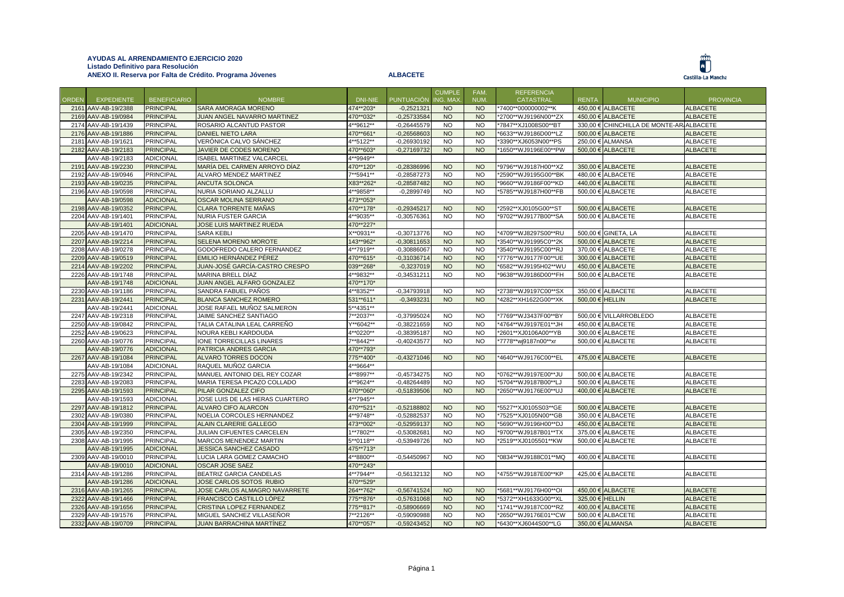## **AYUDAS AL ARRENDAMIENTO EJERCICIO 2020 Listado Definitivo para Resolución ANEXO II. Reserva por Falta de Crédito. Programa Jóvenes ALBACETE**





|       |                     |                     |                                  |           |                   | <b>CUMPLE</b> | FAM.      | <b>REFERENCIA</b>    |                 |                                  |                  |
|-------|---------------------|---------------------|----------------------------------|-----------|-------------------|---------------|-----------|----------------------|-----------------|----------------------------------|------------------|
| ORDEN | <b>EXPEDIENTE</b>   | <b>BENEFICIARIO</b> | <b>NOMBRE</b>                    | DNI-NIE   | <b>PUNTUACIÓN</b> | ING. MAX      | NUM.      | CATASTRAL            | <b>RENTA</b>    | <b>MUNICIPIO</b>                 | <b>PROVINCIA</b> |
|       | 2161 AAV-AB-19/2388 | <b>PRINCIPAL</b>    | SARA AMORAGA MORENO              | 474**203* | $-0,2521321$      | <b>NO</b>     | <b>NO</b> | *7400**000000002**K  |                 | 450,00 € ALBACETE                | <b>ALBACETE</b>  |
|       | 2169 AAV-AB-19/0984 | <b>PRINCIPAL</b>    | JUAN ANGEL NAVARRO MARTINEZ      | 470**032* | $-0,25733584$     | <b>NO</b>     | <b>NO</b> | *2700**WJ9196N00**ZX |                 | 450,00 € ALBACETE                | <b>ALBACETE</b>  |
|       | 2174 AAV-AB-19/1439 | <b>PRINCIPAL</b>    | ROSARIO ALCANTUD PASTOR          | 4**9612** | $-0,26445579$     | <b>NO</b>     | <b>NO</b> | *7847**XJ1008S00**BT |                 | 330,00 € CHINCHILLA DE MONTE-AR. | <b>ALBACETE</b>  |
|       | 2176 AAV-AB-19/1886 | <b>PRINCIPAL</b>    | <b>DANIEL NIETO LARA</b>         | 470**661* | $-0,26568603$     | <b>NO</b>     | <b>NO</b> | *6633**WJ9186D00**LZ |                 | 500,00 € ALBACETE                | <b>ALBACETE</b>  |
|       | 2181 AAV-AB-19/1621 | <b>PRINCIPAL</b>    | VERÓNICA CALVO SÁNCHEZ           | 4**5122** | $-0,26930192$     | <b>NO</b>     | <b>NO</b> | *3390**XJ6053N00**PS |                 | 250,00 € ALMANSA                 | <b>ALBACETE</b>  |
|       | 2182 AAV-AB-19/2183 | <b>PRINCIPAL</b>    | JAVIER DE CODES MORENO           | 470**603* | $-0,27169732$     | <b>NO</b>     | <b>NO</b> | *1650**WJ9196E00**PW |                 | 500,00 € ALBACETE                | <b>ALBACETE</b>  |
|       | AAV-AB-19/2183      | <b>ADICIONAL</b>    | <b>ISABEL MARTINEZ VALCARCEL</b> | 4**9949** |                   |               |           |                      |                 |                                  |                  |
|       | 2191 AAV-AB-19/2230 | <b>PRINCIPAL</b>    | MARÍA DEL CARMEN ARROYO DÍAZ     | 470**120* | $-0,28386996$     | <b>NO</b>     | <b>NO</b> | *9796**WJ9187H00**XZ |                 | 350,00 € ALBACETE                | <b>ALBACETE</b>  |
|       | 2192 AAV-AB-19/0946 | <b>PRINCIPAL</b>    | ALVARO MENDEZ MARTINEZ           | 7**5941** | $-0,28587273$     | <b>NO</b>     | <b>NO</b> | *2590**WJ9195G00**BK |                 | 480,00 € ALBACETE                | <b>ALBACETE</b>  |
|       | 2193 AAV-AB-19/0235 | <b>PRINCIPAL</b>    | ANCUTA SOLONCA                   | X83**262* | $-0,28587482$     | <b>NO</b>     | <b>NO</b> | *9660**WJ9186F00**KD |                 | 440,00 € ALBACETE                | <b>ALBACETE</b>  |
|       | 2196 AAV-AB-19/0598 | <b>PRINCIPAL</b>    | NURIA SORIANO ALZALLU            | 4**9858** | $-0,2899749$      | <b>NO</b>     | <b>NO</b> | *5785**WJ9187H00**FB |                 | 500,00 € ALBACETE                | <b>ALBACETE</b>  |
|       | AAV-AB-19/0598      | <b>ADICIONAL</b>    | OSCAR MOLINA SERRANO             | 473**053* |                   |               |           |                      |                 |                                  |                  |
|       | 2198 AAV-AB-19/0352 | <b>PRINCIPAL</b>    | <b>CLARA TORRENTE MAÑAS</b>      | 470**178* | $-0,29345217$     | <b>NO</b>     | <b>NO</b> | *2592**XJ0105G00**ST |                 | 500,00 € ALBACETE                | <b>ALBACETE</b>  |
|       | 2204 AAV-AB-19/1401 | <b>PRINCIPAL</b>    | NURIA FUSTER GARCIA              | 4**9035** | $-0,30576361$     | <b>NO</b>     | <b>NO</b> | *9702**WJ9177B00**SA |                 | 500,00 € ALBACETE                | <b>ALBACETE</b>  |
|       | AAV-AB-19/1401      | <b>ADICIONAL</b>    | JOSE LUIS MARTINEZ RUEDA         | 470**227* |                   |               |           |                      |                 |                                  |                  |
|       | 2205 AAV-AB-19/1470 | <b>PRINCIPAL</b>    | <b>SARA KEBLI</b>                | X**0931** | $-0,30713776$     | <b>NO</b>     | <b>NO</b> | *4709**WJ8297S00**RU |                 | 500,00 € GINETA, LA              | <b>ALBACETE</b>  |
|       | 2207 AAV-AB-19/2214 | <b>PRINCIPAL</b>    | SELENA MORENO MOROTE             | 143**962* | $-0,30811653$     | <b>NO</b>     | <b>NO</b> | *3540**WJ91995C0**2K |                 | 500,00 € ALBACETE                | <b>ALBACETE</b>  |
|       | 2208 AAV-AB-19/0278 | <b>PRINCIPAL</b>    | GODOFREDO CALERO FERNANDEZ       | 4**7919** | $-0,30886067$     | <b>NO</b>     | <b>NO</b> | *3540**WJ9195C00**RJ |                 | 370,00 € ALBACETE                | <b>ALBACETE</b>  |
|       | 2209 AAV-AB-19/0519 | <b>PRINCIPAL</b>    | EMILIO HERNÁNDEZ PÉREZ           | 470**615* | $-0,31036714$     | <b>NO</b>     | <b>NO</b> | *7776**WJ9177F00**UE |                 | 300,00 € ALBACETE                | <b>ALBACETE</b>  |
|       | 2214 AAV-AB-19/2202 | <b>PRINCIPAL</b>    | JUAN-JOSÉ GARCÍA-CASTRO CRESPO   | 039**268* | $-0,3237019$      | <b>NO</b>     | <b>NO</b> | *6582**WJ9195H02**WU |                 | 450,00 € ALBACETE                | <b>ALBACETE</b>  |
|       | 2226 AAV-AB-19/1748 | <b>PRINCIPAL</b>    | MARINA BRELL DÍAZ                | 4**9832** | $-0,34531211$     | <b>NO</b>     | <b>NO</b> | *9638**WJ9186D00**FH |                 | 500,00 € ALBACETE                | <b>ALBACETE</b>  |
|       | AAV-AB-19/1748      | <b>ADICIONAL</b>    | JUAN ANGEL ALFARO GONZALEZ       | 470**170* |                   |               |           |                      |                 |                                  |                  |
|       | 2230 AAV-AB-19/1186 | <b>PRINCIPAL</b>    | SANDRA FABUEL PAÑOS              | 4**8352** | $-0,34793918$     | <b>NO</b>     | <b>NO</b> | *2738**WJ9197C00**SX |                 | 350,00 € ALBACETE                | <b>ALBACETE</b>  |
|       | 2231 AAV-AB-19/2441 | <b>PRINCIPAL</b>    | BLANCA SANCHEZ ROMERO            | 531**611* | $-0,3493231$      | <b>NO</b>     | <b>NO</b> | *4282**XH1622G00**XK | 500,00 € HELLIN |                                  | <b>ALBACETE</b>  |
|       | AAV-AB-19/2441      | <b>ADICIONAL</b>    | JOSE RAFAEL MUÑOZ SALMERON       | 5**4351** |                   |               |           |                      |                 |                                  |                  |
|       | 2247 AAV-AB-19/2318 | <b>PRINCIPAL</b>    | JAIME SANCHEZ SANTIAGO           | 7**2037** | $-0,37995024$     | <b>NO</b>     | <b>NO</b> | *7769**WJ3437F00**BY |                 | 500,00 € VILLARROBLEDO           | <b>ALBACETE</b>  |
|       | 2250 AAV-AB-19/0842 | <b>PRINCIPAL</b>    | TALIA CATALINA LEAL CARREÑO      | Y**6042** | $-0,38221659$     | <b>NO</b>     | <b>NO</b> | *4764**WJ9197E01**JH |                 | 450,00 € ALBACETE                | <b>ALBACETE</b>  |
|       | 2252 AAV-AB-19/0623 | <b>PRINCIPAL</b>    | NOURA KEBLI KARDOUDA             | 4**0220** | $-0,38395187$     | <b>NO</b>     | <b>NO</b> | *2601**XJ0106A00**YB |                 | 300,00 € ALBACETE                | <b>ALBACETE</b>  |
|       | 2260 AAV-AB-19/0776 | <b>PRINCIPAL</b>    | IONE TORRECILLAS LINARES         | 7**8442** | $-0,40243577$     | <b>NO</b>     | <b>NO</b> | *7778**wj9187n00**xr |                 | 500,00 € ALBACETE                | <b>ALBACETE</b>  |
|       | AAV-AB-19/0776      | <b>ADICIONAL</b>    | PATRICIA ANDRES GARCIA           | 470**793* |                   |               |           |                      |                 |                                  |                  |
|       | 2267 AAV-AB-19/1084 | <b>PRINCIPAL</b>    | ALVARO TORRES DOCON              | 775**400* | $-0,43271046$     | <b>NO</b>     | <b>NO</b> | *4640**WJ9176C00**EL |                 | 475,00 € ALBACETE                | <b>ALBACETE</b>  |
|       | AAV-AB-19/1084      | <b>ADICIONAL</b>    | RAQUEL MUÑOZ GARCIA              | 4**9664** |                   |               |           |                      |                 |                                  |                  |
|       | 2275 AAV-AB-19/2342 | <b>PRINCIPAL</b>    | MANUEL ANTONIO DEL REY COZAR     | 4**8997** | $-0,45734275$     | <b>NO</b>     | <b>NO</b> | *0762**WJ9197E00**JU |                 | 500,00 € ALBACETE                | <b>ALBACETE</b>  |
|       | 2283 AAV-AB-19/2083 | <b>PRINCIPAL</b>    | MARIA TERESA PICAZO COLLADO      | 4**9624** | $-0,48264489$     | <b>NO</b>     | <b>NO</b> | *5704**WJ9187B00**LJ |                 | 500,00 € ALBACETE                | <b>ALBACETE</b>  |
|       | 2295 AAV-AB-19/1593 | <b>PRINCIPAL</b>    | PILAR GONZALEZ CIFO              | 470**060* | $-0,51839506$     | <b>NO</b>     | <b>NO</b> | *2650**WJ9176E00**UJ |                 | 400,00 € ALBACETE                | <b>ALBACETE</b>  |
|       | AAV-AB-19/1593      | <b>ADICIONAL</b>    | JOSE LUIS DE LAS HERAS CUARTERO  | 4**7945** |                   |               |           |                      |                 |                                  |                  |
|       | 2297 AAV-AB-19/1812 | <b>PRINCIPAL</b>    | <b>ALVARO CIFO ALARCON</b>       | 470**521* | $-0,52188802$     | <b>NO</b>     | <b>NO</b> | *5527**XJ0105S03**GE |                 | 500,00 € ALBACETE                | <b>ALBACETE</b>  |
|       | 2302 AAV-AB-19/0380 | <b>PRINCIPAL</b>    | NOELIA CORCOLES HERNANDEZ        | 4**9748** | $-0,52882537$     | <b>NO</b>     | <b>NO</b> | *7525**XJ0105N00**GB |                 | 350,00 € ALBACETE                | <b>ALBACETE</b>  |
|       | 2304 AAV-AB-19/1999 | <b>PRINCIPAL</b>    | ALAIN CLARERIE GALLEGO           | 473**002* | $-0,52959137$     | <b>NO</b>     | <b>NO</b> | *5690**WJ9196H00**DJ |                 | 450,00 € ALBACETE                | <b>ALBACETE</b>  |
|       | 2305 AAV-AB-19/2350 | <b>PRINCIPAL</b>    | JULIAN CIFUENTES CARCELEN        | 1**7802** | $-0,53082681$     | <b>NO</b>     | <b>NO</b> | *9700**WJ9187B01**TX |                 | 375,00 € ALBACETE                | <b>ALBACETE</b>  |
|       | 2308 AAV-AB-19/1995 | <b>PRINCIPAL</b>    | MARCOS MENENDEZ MARTIN           | 5**0118** | $-0.53949726$     | <b>NO</b>     | <b>NO</b> | *2519**XJ0105501**KW |                 | 500,00 € ALBACETE                | <b>ALBACETE</b>  |
|       | AAV-AB-19/1995      | <b>ADICIONAL</b>    | <b>JESSICA SANCHEZ CASADO</b>    | 475**713* |                   |               |           |                      |                 |                                  |                  |
|       | 2309 AAV-AB-19/0010 | <b>PRINCIPAL</b>    | LUCIA LARA GOMEZ CAMACHO         | 4**8800** | $-0,54450967$     | <b>NO</b>     | <b>NO</b> | *0834**WJ9188C01**MQ |                 | 400,00 € ALBACETE                | <b>ALBACETE</b>  |
|       | AAV-AB-19/0010      | <b>ADICIONAL</b>    | <b>OSCAR JOSE SAEZ</b>           | 470**243* |                   |               |           |                      |                 |                                  |                  |
|       | 2314 AAV-AB-19/1286 | <b>PRINCIPAL</b>    | BEATRIZ GARCIA CANDELAS          | 4**7944** | $-0,56132132$     | <b>NO</b>     | <b>NO</b> | *4755**WJ9187E00**KP |                 | 425,00 € ALBACETE                | <b>ALBACETE</b>  |
|       | AAV-AB-19/1286      | <b>ADICIONAL</b>    | JOSE CARLOS SOTOS RUBIO          | 470**529* |                   |               |           |                      |                 |                                  |                  |
|       | 2316 AAV-AB-19/1265 | <b>PRINCIPAL</b>    | JOSE CARLOS ALMAGRO NAVARRETE    | 264**762* | $-0,56741524$     | <b>NO</b>     | <b>NO</b> | *5681**WJ9176H00**OI |                 | 450,00 € ALBACETE                | <b>ALBACETE</b>  |
|       | 2322 AAV-AB-19/1466 | <b>PRINCIPAL</b>    | FRANCISCO CASTILLO LÓPEZ         | 775**876* | $-0,57631068$     | <b>NO</b>     | <b>NO</b> | *5372**XH1633G00**XL | 325,00 € HELLIN |                                  | <b>ALBACETE</b>  |
|       | 2326 AAV-AB-19/1656 | <b>PRINCIPAL</b>    | CRISTINA LOPEZ FERNANDEZ         | 775**817* | $-0,58906669$     | <b>NO</b>     | <b>NO</b> | *1741**WJ9187C00**RZ |                 | 400,00 € ALBACETE                | <b>ALBACETE</b>  |
|       | 2329 AAV-AB-19/1576 | <b>PRINCIPAL</b>    | MIGUEL SANCHEZ VILLASEÑOR        | 7**2126** | $-0,59090988$     | <b>NO</b>     | <b>NO</b> | *2650**WJ9176E01**CW |                 | 500,00 € ALBACETE                | <b>ALBACETE</b>  |
|       | 2332 AAV-AB-19/0709 | <b>PRINCIPAL</b>    | JUAN BARRACHINA MARTÍNEZ         | 470**057* | $-0,59243452$     | <b>NO</b>     | <b>NO</b> | *6430**XJ6044S00**LG |                 | 350,00 € ALMANSA                 | <b>ALBACETE</b>  |
|       |                     |                     |                                  |           |                   |               |           |                      |                 |                                  |                  |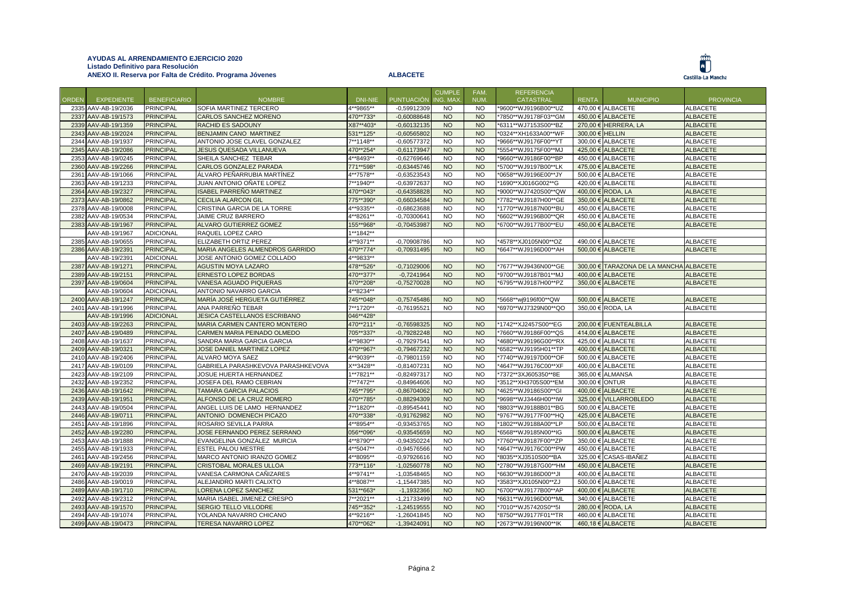## **AYUDAS AL ARRENDAMIENTO EJERCICIO 2020 Listado Definitivo para Resolución ANEXO II. Reserva por Falta de Crédito. Programa Jóvenes ALBACETE**





|       |                     |                     |                                    |           |                   | <b>CUMPLE</b> | FAM.      | <b>REFERENCIA</b>    |                 |                                |                  |
|-------|---------------------|---------------------|------------------------------------|-----------|-------------------|---------------|-----------|----------------------|-----------------|--------------------------------|------------------|
| ORDEN | <b>EXPEDIENTE</b>   | <b>BENEFICIARIO</b> | <b>NOMBRE</b>                      | DNI-NIE   | <b>PUNTUACIÓN</b> | ING. MAX      | NUM.      | <b>CATASTRAL</b>     | <b>RENTA</b>    | <b>MUNICIPIO</b>               | <b>PROVINCIA</b> |
|       | 2335 AAV-AB-19/2036 | <b>PRINCIPAL</b>    | SOFIA MARTINEZ TERCERO             | 4**9865** | $-0,59912309$     | <b>NO</b>     | <b>NO</b> | *9600**WJ9196B00**UZ |                 | 470,00 € ALBACETE              | <b>ALBACETE</b>  |
|       | 2337 AAV-AB-19/1573 | <b>PRINCIPAL</b>    | CARLOS SANCHEZ MORENO              | 470**733* | $-0,60088648$     | <b>NO</b>     | <b>NO</b> | *7850**WJ9178F03**GM |                 | 450,00 € ALBACETE              | <b>ALBACETE</b>  |
|       | 2339 AAV-AB-19/1359 | <b>PRINCIPAL</b>    | <b>RACHID ES SADOUNY</b>           | X87**403* | $-0,60132135$     | <b>NO</b>     | <b>NO</b> | *6311**WJ7153S00**BZ |                 | 270,00 € HERRERA, LA           | <b>ALBACETE</b>  |
|       | 2343 AAV-AB-19/2024 | <b>PRINCIPAL</b>    | BENJAMIN CANO MARTINEZ             | 531**125* | $-0,60565802$     | <b>NO</b>     | <b>NO</b> | *0324**XH1633A00**WF | 300,00 € HELLIN |                                | <b>ALBACETE</b>  |
|       | 2344 AAV-AB-19/1937 | <b>PRINCIPAL</b>    | ANTONIO JOSE CLAVEL GONZALEZ       | 7**1148** | $-0,60577372$     | <b>NO</b>     | <b>NO</b> | *9666**WJ9176F00**YT |                 | 300,00 € ALBACETE              | <b>ALBACETE</b>  |
|       | 2345 AAV-AB-19/2086 | <b>PRINCIPAL</b>    | JESUS QUESADA VILLANUEVA           | 470**254* | $-0,61173947$     | <b>NO</b>     | <b>NO</b> | *5554**WJ9175F00**MJ |                 | 425,00 € ALBACETE              | <b>ALBACETE</b>  |
|       | 2353 AAV-AB-19/0245 | <b>PRINCIPAL</b>    | SHEILA SANCHEZ TEBAR               | 4**8493** | $-0.62769646$     | <b>NO</b>     | <b>NO</b> | *9660**WJ9186F00**BP |                 | 450,00 € ALBACETE              | <b>ALBACETE</b>  |
|       | 2360 AAV-AB-19/2266 | <b>PRINCIPAL</b>    | CARLOS GONZALEZ PARADA             | 771**598* | $-0,63445746$     | <b>NO</b>     | <b>NO</b> | *5700**WJ9197B00**LK |                 | 475,00 € ALBACETE              | <b>ALBACETE</b>  |
|       | 2361 AAV-AB-19/1066 | <b>PRINCIPAL</b>    | ÁLVARO PEÑARRUBIA MARTÍNEZ         | 4**7578** | $-0,63523543$     | <b>NO</b>     | <b>NO</b> | *0658**WJ9196E00**JY |                 | 500,00 € ALBACETE              | <b>ALBACETE</b>  |
|       | 2363 AAV-AB-19/1233 | <b>PRINCIPAL</b>    | JUAN ANTONIO OÑATE LOPEZ           | 7**1940** | $-0,63972637$     | <b>NO</b>     | <b>NO</b> | *1690**XJ016G002**G  |                 | 420,00 € ALBACETE              | <b>ALBACETE</b>  |
|       | 2364 AAV-AB-19/2327 | <b>PRINCIPAL</b>    | ISABEL PARREÑO MARTINEZ            | 470**043* | $-0,64358828$     | <b>NO</b>     | <b>NO</b> | *9000**WJ7420S00**QW |                 | 400,00 € RODA, LA              | <b>ALBACETE</b>  |
|       | 2373 AAV-AB-19/0862 | <b>PRINCIPAL</b>    | <b>CECILIA ALARCON GIL</b>         | 775**390* | $-0,66034584$     | <b>NO</b>     | <b>NO</b> | *7782**WJ9187H00**GE |                 | 350,00 € ALBACETE              | <b>ALBACETE</b>  |
|       | 2378 AAV-AB-19/0008 | <b>PRINCIPAL</b>    | CRISTINA GARCIA DE LA TORRE        | 4**9335** | $-0,68623688$     | <b>NO</b>     | <b>NO</b> | *1770**WJ9187N00**BU |                 | 450,00 € ALBACETE              | <b>ALBACETE</b>  |
|       | 2382 AAV-AB-19/0534 | <b>PRINCIPAL</b>    | JAIME CRUZ BARRERO                 | 4**8261** | $-0,70300641$     | <b>NO</b>     | <b>NO</b> | *6602**WJ9196B00**QR |                 | 450,00 € ALBACETE              | <b>ALBACETE</b>  |
|       | 2383 AAV-AB-19/1967 | <b>PRINCIPAL</b>    | ALVARO GUTIERREZ GOMEZ             | 155**968* | $-0,70453987$     | <b>NO</b>     | <b>NO</b> | *6700**WJ9177B00**EU |                 | 450,00 € ALBACETE              | <b>ALBACETE</b>  |
|       | AAV-AB-19/1967      | <b>ADICIONAL</b>    | RAQUEL LOPEZ CARO                  | 1**1842** |                   |               |           |                      |                 |                                |                  |
|       | 2385 AAV-AB-19/0655 | <b>PRINCIPAL</b>    | ELIZABETH ORTIZ PEREZ              | 4**9371** | $-0,70908786$     | <b>NO</b>     | <b>NO</b> | *4578**XJ0105N00**OZ |                 | 490,00 € ALBACETE              | <b>ALBACETE</b>  |
|       | 2386 AAV-AB-19/2391 | <b>PRINCIPAL</b>    | MARIA ANGELES ALMENDROS GARRIDO    | 470**774* | $-0,70931495$     | <b>NO</b>     | <b>NO</b> | *6647**WJ9196D00**AH |                 | 500,00 € ALBACETE              | <b>ALBACETE</b>  |
|       | AAV-AB-19/2391      | <b>ADICIONAL</b>    | JOSE ANTONIO GOMEZ COLLADO         | 4**9833** |                   |               |           |                      |                 |                                |                  |
|       | 2387 AAV-AB-19/1271 | <b>PRINCIPAL</b>    | <b>AGUSTIN MOYA LAZARO</b>         | 478**526* | $-0,71029006$     | <b>NO</b>     | <b>NO</b> | *7677**WJ9436N00**GE |                 | 300,00 € TARAZONA DE LA MANCHA | <b>ALBACETE</b>  |
|       | 2389 AAV-AB-19/2151 | <b>PRINCIPAL</b>    | <b>ERNESTO LOPEZ BORDAS</b>        | 470**377* | $-0,7241964$      | <b>NO</b>     | <b>NO</b> | *9700**WJ9187B01**MJ |                 | 400,00 € ALBACETE              | <b>ALBACETE</b>  |
|       | 2397 AAV-AB-19/0604 | <b>PRINCIPAL</b>    | VANESA AGUADO PIQUERAS             | 470**208* | $-0,75270028$     | <b>NO</b>     | <b>NO</b> | *6795**WJ9187H00**PZ |                 | 350,00 € ALBACETE              | <b>ALBACETE</b>  |
|       | AAV-AB-19/0604      | <b>ADICIONAL</b>    | ANTONIO NAVARRO GARCIA             | 4**8234** |                   |               |           |                      |                 |                                |                  |
|       | 2400 AAV-AB-19/1247 | <b>PRINCIPAL</b>    | MARÍA JOSÉ HERGUETA GUTIÉRREZ      | 745**048* | $-0,75745486$     | <b>NO</b>     | <b>NO</b> | *5668**wj9196f00**QW |                 | 500,00 € ALBACETE              | <b>ALBACETE</b>  |
|       | 2401 AAV-AB-19/1996 | <b>PRINCIPAL</b>    | ANA PARREÑO TEBAR                  | 7**1720** | $-0,76195521$     | <b>NO</b>     | <b>NO</b> | *6970**WJ7329N00**QO |                 | 350,00 € RODA, LA              | <b>ALBACETE</b>  |
|       | AAV-AB-19/1996      | <b>ADICIONAL</b>    | JESICA CASTELLANOS ESCRIBANO       | 046**428* |                   |               |           |                      |                 |                                |                  |
|       | 2403 AAV-AB-19/2263 | <b>PRINCIPAL</b>    | MARIA CARMEN CANTERO MONTERO       | 470**211* | $-0,76598325$     | <b>NO</b>     | <b>NO</b> | *1742**XJ2457S00**EG |                 | 200,00 € FUENTEALBILLA         | <b>ALBACETE</b>  |
|       | 2407 AAV-AB-19/0489 | <b>PRINCIPAL</b>    | CARMEN MARIA PEINADO OLMEDO        | 705**337* | $-0,79282248$     | <b>NO</b>     | <b>NO</b> | *7660**WJ9186F00**QS |                 | 414,00 € ALBACETE              | <b>ALBACETE</b>  |
|       | 2408 AAV-AB-19/1637 | <b>PRINCIPAL</b>    | SANDRA MARIA GARCIA GARCIA         | 4**9830** | $-0,79297541$     | <b>NO</b>     | <b>NO</b> | *4680**WJ9196G00**RX |                 | 425,00 € ALBACETE              | <b>ALBACETE</b>  |
|       | 2409 AAV-AB-19/0321 | <b>PRINCIPAL</b>    | JOSE DANIEL MARTINEZ LOPEZ         | 470**967* | $-0,79467232$     | <b>NO</b>     | <b>NO</b> | *6582**WJ9195H01**TP |                 | 400,00 € ALBACETE              | <b>ALBACETE</b>  |
|       | 2410 AAV-AB-19/2406 | <b>PRINCIPAL</b>    | ALVARO MOYA SAEZ                   | 4**9039** | $-0.79801159$     | <b>NO</b>     | <b>NO</b> | *7740**WJ9197D00**OF |                 | 500.00 € ALBACETE              | <b>ALBACETE</b>  |
|       | 2417 AAV-AB-19/0109 | <b>PRINCIPAL</b>    | GABRIELA PARASHKEVOVA PARASHKEVOVA | X**3428** | $-0,81407231$     | <b>NO</b>     | <b>NO</b> | *4647**WJ9176C00**XF |                 | 400,00 € ALBACETE              | <b>ALBACETE</b>  |
|       | 2423 AAV-AB-19/2109 | <b>PRINCIPAL</b>    | JOSUE HUERTA HERNANDEZ             | 1**7821** | $-0,82497317$     | <b>NO</b>     | <b>NO</b> | *7372**3XJ605350**8E |                 | 365,00 € ALMANSA               | <b>ALBACETE</b>  |
|       | 2432 AAV-AB-19/2352 | <b>PRINCIPAL</b>    | JOSEFA DEL RAMO CEBRIAN            | 7**7472** | $-0,84964606$     | <b>NO</b>     | <b>NO</b> | *3512**XH3705S00**EM | 300,00 € ONTUR  |                                | <b>ALBACETE</b>  |
|       | 2436 AAV-AB-19/1642 | <b>PRINCIPAL</b>    | <b>TAMARA GARCIA PALACIOS</b>      | 745**795* | $-0,86704062$     | <b>NO</b>     | <b>NO</b> | *4625**WJ9186S00**GI |                 | 400,00 € ALBACETE              | <b>ALBACETE</b>  |
|       | 2439 AAV-AB-19/1951 | <b>PRINCIPAL</b>    | ALFONSO DE LA CRUZ ROMERO          | 470**785* | $-0,88294309$     | <b>NO</b>     | <b>NO</b> | '9698**WJ3446H00**IW |                 | 325,00 € VILLARROBLEDO         | <b>ALBACETE</b>  |
|       | 2443 AAV-AB-19/0504 | <b>PRINCIPAL</b>    | ANGEL LUIS DE LAMO HERNANDEZ       | 7**1820** | $-0.89545441$     | <b>NO</b>     | <b>NO</b> | *8803**WJ9188B01**BG |                 | 500.00 € ALBACETE              | <b>ALBACETE</b>  |
|       | 2446 AAV-AB-19/0711 | <b>PRINCIPAL</b>    | ANTONIO DOMENECH PICAZO            | 470**338* | $-0.91762982$     | <b>NO</b>     | <b>NO</b> | *9767**WJ9177F00**HQ |                 | 425,00 € ALBACETE              | <b>ALBACETE</b>  |
|       | 2451 AAV-AB-19/1896 | <b>PRINCIPAL</b>    | ROSARIO SEVILLA PARRA              | 4**8954** | $-0,93453765$     | <b>NO</b>     | <b>NO</b> | *1802**WJ9188A00**LP |                 | 500,00 € ALBACETE              | ALBACETE         |
|       | 2452 AAV-AB-19/2280 | <b>PRINCIPAL</b>    | JOSE FERNANDO PEREZ SERRANO        | 056**096* | $-0,93545659$     | <b>NO</b>     | <b>NO</b> | *6568**WJ9185N00**IG |                 | 500,00 € ALBACETE              | <b>ALBACETE</b>  |
|       | 2453 AAV-AB-19/1888 | <b>PRINCIPAL</b>    | EVANGELINA GONZÁLEZ MURCIA         | 4**8790** | $-0,94350224$     | <b>NO</b>     | <b>NO</b> | *7760**WJ9187F00**ZP |                 | 350,00 € ALBACETE              | <b>ALBACETE</b>  |
|       | 2455 AAV-AB-19/1933 | <b>PRINCIPAL</b>    | ESTEL PALOU MESTRE                 | 4**5047** | $-0,94576566$     | <b>NO</b>     | <b>NO</b> | *4647**WJ9176C00**PW |                 | 450.00 € ALBACETE              | <b>ALBACETE</b>  |
|       | 2461 AAV-AB-19/2456 | <b>PRINCIPAL</b>    | MARCO ANTONIO IRANZO GOMEZ         | 4**8095** | $-0,97926616$     | <b>NO</b>     | <b>NO</b> | *8035**XJ3510S00**BA |                 | 325,00 € CASAS-IBAÑEZ          | <b>ALBACETE</b>  |
|       | 2469 AAV-AB-19/2191 | <b>PRINCIPAL</b>    | <b>CRISTOBAL MORALES ULLOA</b>     | 773**116* | $-1,02560778$     | <b>NO</b>     | <b>NO</b> | *2780**WJ9187G00**HM |                 | 450,00 € ALBACETE              | <b>ALBACETE</b>  |
|       | 2470 AAV-AB-19/2039 | <b>PRINCIPAL</b>    | VANESA CARMONA CAÑIZARES           | 4**9741** | -1,03548465       | <b>NO</b>     | <b>NO</b> | *6630**WJ9186D00**JI |                 | 400,00 € ALBACETE              | <b>ALBACETE</b>  |
|       | 2486 AAV-AB-19/0019 | <b>PRINCIPAL</b>    | ALEJANDRO MARTI CALIXTO            | 4**8087** | $-1,15447385$     | <b>NO</b>     | <b>NO</b> | *3583**XJ0105N00**ZJ |                 | 500,00 € ALBACETE              | <b>ALBACETE</b>  |
|       | 2489 AAV-AB-19/1710 | <b>PRINCIPAL</b>    | LORENA LOPEZ SANCHEZ               | 531**663* | $-1,1932366$      | <b>NO</b>     | <b>NO</b> | *6700**WJ9177B00**AP |                 | 400,00 € ALBACETE              | <b>ALBACETE</b>  |
|       | 2492 AAV-AB-19/2312 | <b>PRINCIPAL</b>    | MARIA ISABEL JIMENEZ CRESPO        | 7**2021** | -1,21733499       | <b>NO</b>     | <b>NO</b> | *6631**WJ9196D00**ML |                 | 340,00 € ALBACETE              | <b>ALBACETE</b>  |
|       | 2493 AAV-AB-19/1570 | <b>PRINCIPAL</b>    | SERGIO TELLO VILLODRE              | 745**352* | $-1,24519555$     | <b>NO</b>     | <b>NO</b> | *7010**WJ57420S0**5I |                 | 280,00 € RODA, LA              | <b>ALBACETE</b>  |
|       | 2494 AAV-AB-19/1074 | <b>PRINCIPAL</b>    | YOLANDA NAVARRO CHICANO            | 4**9216** | $-1,26041845$     | <b>NO</b>     | <b>NO</b> | *8750**WJ9177F01**TR |                 | 460,00 € ALBACETE              | <b>ALBACETE</b>  |
|       | 2499 AAV-AB-19/0473 | <b>PRINCIPAL</b>    | <b>TERESA NAVARRO LOPEZ</b>        | 470**062* | $-1,39424091$     | <b>NO</b>     | <b>NO</b> | *2673**WJ9196N00**IK |                 | 460,18 € ALBACETE              | <b>ALBACETE</b>  |
|       |                     |                     |                                    |           |                   |               |           |                      |                 |                                |                  |